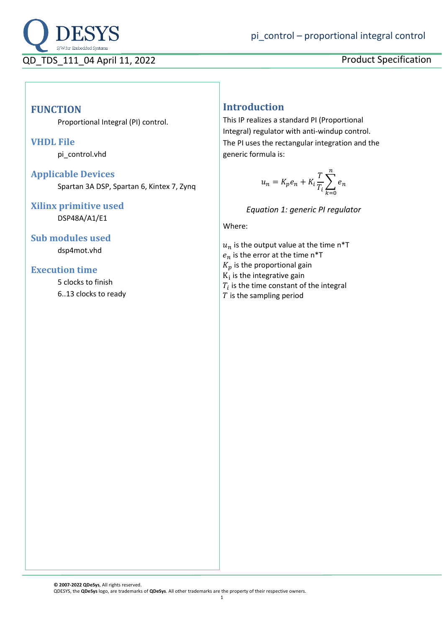

## **FUNCTION**

Proportional Integral (PI) control.

#### **VHDL File**

pi control.vhd

#### **Applicable Devices** Spartan 3A DSP, Spartan 6, Kintex 7, Zynq

# **Xilinx primitive used**

DSP48A/A1/E1

**Sub modules used** dsp4mot.vhd

#### **Execution time**

5 clocks to finish 6..13 clocks to ready

# **Introduction**

This IP realizes a standard PI (Proportional Integral) regulator with anti-windup control. The PI uses the rectangular integration and the generic formula is:

$$
u_n = K_p e_n + K_i \frac{T}{T_i} \sum_{k=0}^n e_n
$$

*Equation 1: generic PI regulator*

Where:

 $u_n$  is the output value at the time n\*T  $e_n$  is the error at the time n\*T  $K_p$  is the proportional gain  $K_i$  is the integrative gain  $T_i$  is the time constant of the integral  $T$  is the sampling period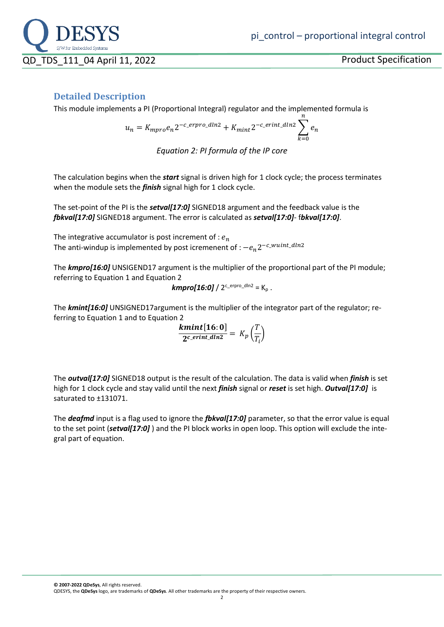

### **Detailed Description**

This module implements a PI (Proportional Integral) regulator and the implemented formula is

$$
u_n = K_{mpro}e_n 2^{-c\_error\_dln2} + K_{mint} 2^{-c\_erint\_dln2} \sum_{k=0}^{n} e_n
$$

*Equation 2: PI formula of the IP core*

The calculation begins when the *start* signal is driven high for 1 clock cycle; the process terminates when the module sets the *finish* signal high for 1 clock cycle.

The set-point of the PI is the *setval[17:0]* SIGNED18 argument and the feedback value is the *fbkval[17:0]* SIGNED18 argument. The error is calculated as *setval[17:0]*- f*bkval[17:0]*.

The integrative accumulator is post increment of :  $e_n$ The anti-windup is implemented by post icremenent of :  $-e_n 2^{-c\_wuint\_dln2}$ 

The *kmpro[16:0]* UNSIGEND17 argument is the multiplier of the proportional part of the PI module; referring to Equation 1 and Equation 2

$$
kmpro[16:0]/2^{c\_erpro\_dln2} = K_p.
$$

The *kmint[16:0]* UNSIGNED17argument is the multiplier of the integrator part of the regulator; referring to Equation 1 and to Equation 2

$$
\frac{\textbf{kmint}[16:0]}{2^{c\_erint\_dln2}} = K_p\left(\frac{T}{T_i}\right)
$$

The *outval[17:0]* SIGNED18 output is the result of the calculation. The data is valid when *finish* is set high for 1 clock cycle and stay valid until the next *finish* signal or *reset* is set high. *Outval[17:0]* is saturated to ±131071.

The *deafmd* input is a flag used to ignore the *fbkval[17:0]* parameter, so that the error value is equal to the set point (*setval[17:0]* ) and the PI block works in open loop. This option will exclude the integral part of equation.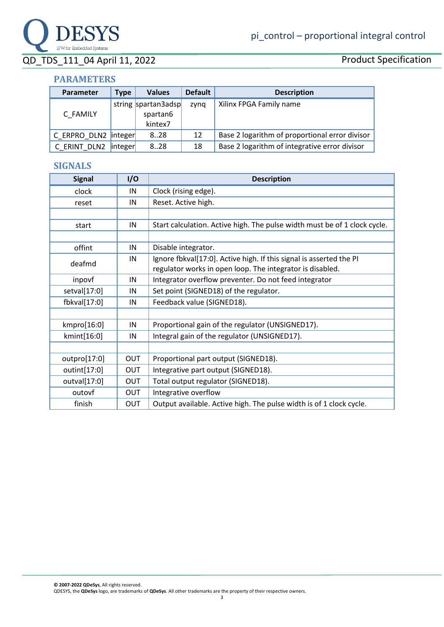

# QD\_TDS\_111\_04 April 11, 2022 Product Specification

#### **PARAMETERS**

| <b>Parameter</b>     | <b>Type</b> | <b>Values</b>                              | <b>Default</b> | <b>Description</b>                             |
|----------------------|-------------|--------------------------------------------|----------------|------------------------------------------------|
| C FAMILY             |             | string spartan3adsp<br>spartan6<br>kintex7 | zyng           | Xilinx FPGA Family name                        |
| C ERPRO DLN2 integer |             | 8.28                                       | 12             | Base 2 logarithm of proportional error divisor |
| C ERINT DLN2         | integer     | 8.28                                       | 18             | Base 2 logarithm of integrative error divisor  |

#### **SIGNALS**

| <b>Signal</b> | 1/O        | <b>Description</b>                                                        |
|---------------|------------|---------------------------------------------------------------------------|
| clock         | IN         | Clock (rising edge).                                                      |
| reset         | IN         | Reset. Active high.                                                       |
|               |            |                                                                           |
| start         | IN         | Start calculation. Active high. The pulse width must be of 1 clock cycle. |
|               |            |                                                                           |
| offint        | IN         | Disable integrator.                                                       |
| deafmd        | IN         | Ignore fbkval[17:0]. Active high. If this signal is asserted the PI       |
|               |            | regulator works in open loop. The integrator is disabled.                 |
| inpovf        | IN         | Integrator overflow preventer. Do not feed integrator                     |
| setval[17:0]  | IN         | Set point (SIGNED18) of the regulator.                                    |
| fbkval[17:0]  | IN         | Feedback value (SIGNED18).                                                |
|               |            |                                                                           |
| kmpro[16:0]   | IN         | Proportional gain of the regulator (UNSIGNED17).                          |
| kmint[16:0]   | IN         | Integral gain of the regulator (UNSIGNED17).                              |
|               |            |                                                                           |
| outpro[17:0]  | OUT        | Proportional part output (SIGNED18).                                      |
| outint[17:0]  | OUT        | Integrative part output (SIGNED18).                                       |
| outval[17:0]  | <b>OUT</b> | Total output regulator (SIGNED18).                                        |
| outovf        | OUT        | Integrative overflow                                                      |
| finish        | OUT        | Output available. Active high. The pulse width is of 1 clock cycle.       |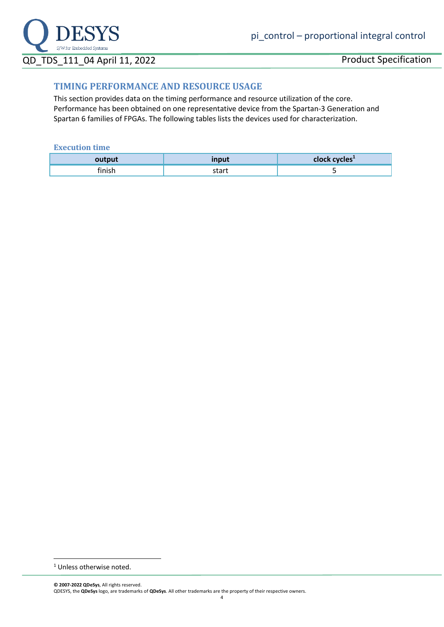

# QD TDS 111 04 April 11, 2022 Product Specification

#### **TIMING PERFORMANCE AND RESOURCE USAGE**

This section provides data on the timing performance and resource utilization of the core. Performance has been obtained on one representative device from the Spartan-3 Generation and Spartan 6 families of FPGAs. The following tables lists the devices used for characterization.

#### **Execution time**

|                  | ان د هم هم | <b>Jes</b> |
|------------------|------------|------------|
| <b>Classical</b> |            |            |

<sup>1</sup> Unless otherwise noted.

**<sup>©</sup> 2007-2022 QDeSys**, All rights reserved. QDESYS, the **QDeSys** logo, are trademarks of **QDeSys**. All other trademarks are the property of their respective owners.